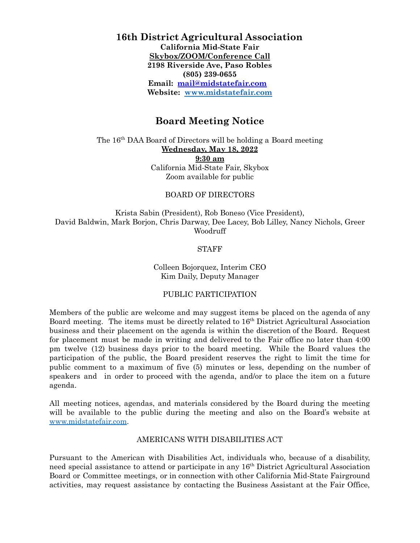# **16th District Agricultural Association California Mid-State Fair Skybox/ZOOM/Conference Call 2198 Riverside Ave, Paso Robles (805) 239-0655 Email: [mail@midstatefair.com](mailto:mail@midstatefair.com) Website: [www.midstatefair.com](http://www.midstatefair.com)**

# **Board Meeting Notice**

The 16<sup>th</sup> DAA Board of Directors will be holding a Board meeting **Wednesday, May 18, 2022 9:30 am** California Mid-State Fair, Skybox Zoom available for public

#### BOARD OF DIRECTORS

Krista Sabin (President), Rob Boneso (Vice President), David Baldwin, Mark Borjon, Chris Darway, Dee Lacey, Bob Lilley, Nancy Nichols, Greer Woodruff

### STAFF

### Colleen Bojorquez, Interim CEO Kim Daily, Deputy Manager

#### PUBLIC PARTICIPATION

Members of the public are welcome and may suggest items be placed on the agenda of any Board meeting. The items must be directly related to 16<sup>th</sup> District Agricultural Association business and their placement on the agenda is within the discretion of the Board. Request for placement must be made in writing and delivered to the Fair office no later than 4:00 pm twelve (12) business days prior to the board meeting. While the Board values the participation of the public, the Board president reserves the right to limit the time for public comment to a maximum of five (5) minutes or less, depending on the number of speakers and in order to proceed with the agenda, and/or to place the item on a future agenda.

All meeting notices, agendas, and materials considered by the Board during the meeting will be available to the public during the meeting and also on the Board's website at [www.midstatefair.com.](http://www.midstatefair.com)

#### AMERICANS WITH DISABILITIES ACT

Pursuant to the American with Disabilities Act, individuals who, because of a disability, need special assistance to attend or participate in any 16<sup>th</sup> District Agricultural Association Board or Committee meetings, or in connection with other California Mid-State Fairground activities, may request assistance by contacting the Business Assistant at the Fair Office,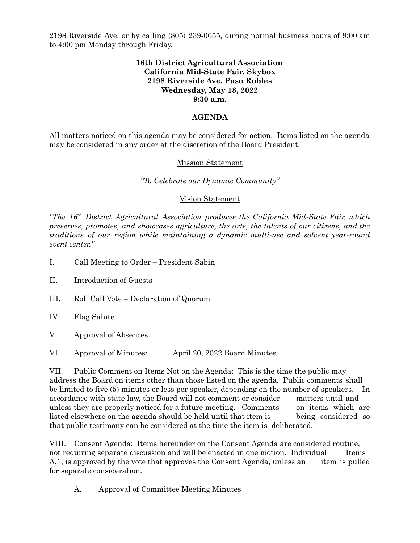2198 Riverside Ave, or by calling (805) 239-0655, during normal business hours of 9:00 am to 4:00 pm Monday through Friday.

### **16th District Agricultural Association California Mid-State Fair, Skybox 2198 Riverside Ave, Paso Robles Wednesday, May 18, 2022 9:30 a.m.**

# **AGENDA**

All matters noticed on this agenda may be considered for action. Items listed on the agenda may be considered in any order at the discretion of the Board President.

## Mission Statement

### *"To Celebrate our Dynamic Community"*

### Vision Statement

*"The 16 th District Agricultural Association produces the California Mid-State Fair, which preserves, promotes, and showcases agriculture, the arts, the talents of our citizens, and the traditions of our region while maintaining a dynamic multi-use and solvent year-round event center."*

- I. Call Meeting to Order President Sabin
- II. Introduction of Guests
- III. Roll Call Vote Declaration of Quorum
- IV. Flag Salute
- V. Approval of Absences
- VI. Approval of Minutes: April 20, 2022 Board Minutes

VII. Public Comment on Items Not on the Agenda: This is the time the public may address the Board on items other than those listed on the agenda. Public comments shall be limited to five (5) minutes or less per speaker, depending on the number of speakers. In accordance with state law, the Board will not comment or consider matters until and unless they are properly noticed for a future meeting. Comments on items which are listed elsewhere on the agenda should be held until that item is being considered so that public testimony can be considered at the time the item is deliberated.

VIII. Consent Agenda: Items hereunder on the Consent Agenda are considered routine, not requiring separate discussion and will be enacted in one motion. Individual Items A,1, is approved by the vote that approves the Consent Agenda, unless an item is pulled for separate consideration.

A. Approval of Committee Meeting Minutes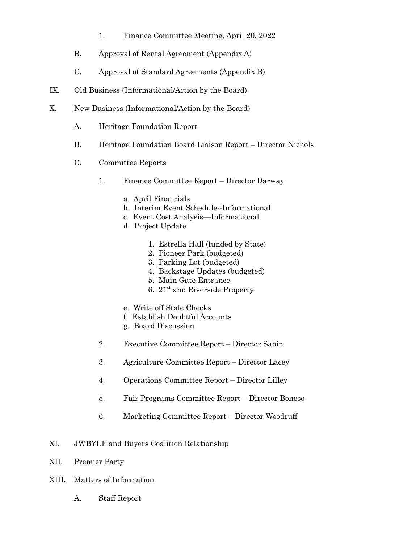- 1. Finance Committee Meeting, April 20, 2022
- B. Approval of Rental Agreement (Appendix A)
- C. Approval of Standard Agreements (Appendix B)
- IX. Old Business (Informational/Action by the Board)
- X. New Business (Informational/Action by the Board)
	- A. Heritage Foundation Report
	- B. Heritage Foundation Board Liaison Report Director Nichols
	- C. Committee Reports
		- 1. Finance Committee Report Director Darway
			- a. April Financials
			- b. Interim Event Schedule--Informational
			- c. Event Cost Analysis—Informational
			- d. Project Update
				- 1. Estrella Hall (funded by State)
				- 2. Pioneer Park (budgeted)
				- 3. Parking Lot (budgeted)
				- 4. Backstage Updates (budgeted)
				- 5. Main Gate Entrance
				- 6. 21 st and Riverside Property
			- e. Write off Stale Checks
			- f. Establish Doubtful Accounts
			- g. Board Discussion
		- 2. Executive Committee Report Director Sabin
		- 3. Agriculture Committee Report Director Lacey
		- 4. Operations Committee Report Director Lilley
		- 5. Fair Programs Committee Report Director Boneso
		- 6. Marketing Committee Report Director Woodruff
- XI. JWBYLF and Buyers Coalition Relationship
- XII. Premier Party
- XIII. Matters of Information
	- A. Staff Report